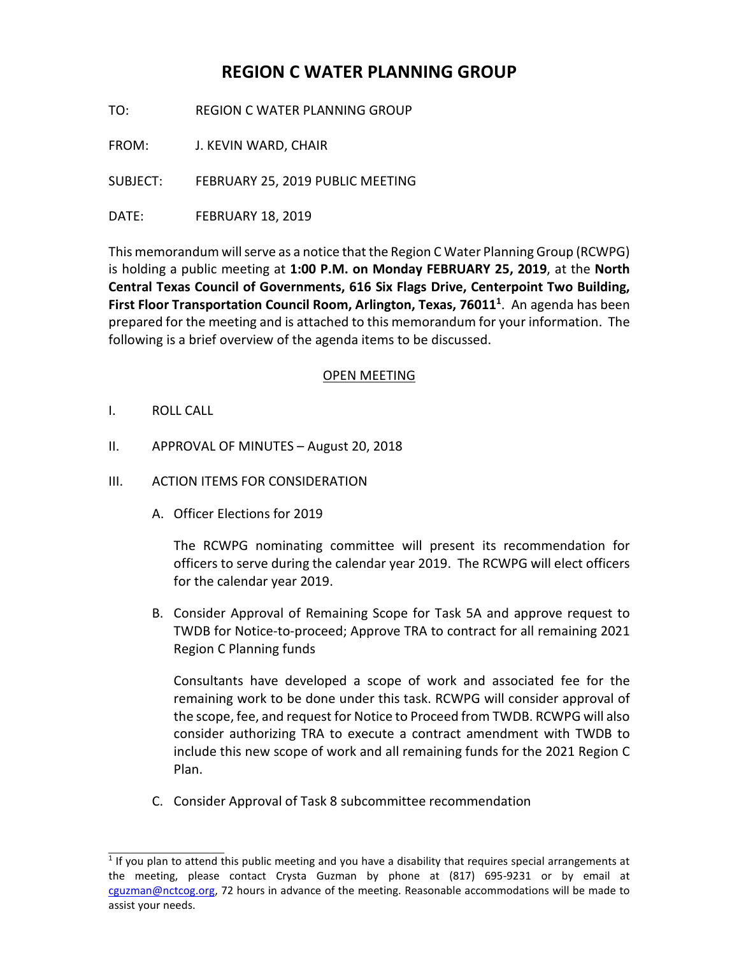## **REGION C WATER PLANNING GROUP**

TO: REGION C WATER PLANNING GROUP

FROM: J. KEVIN WARD, CHAIR

SUBJECT: FEBRUARY 25, 2019 PUBLIC MEETING

DATE: FEBRUARY 18, 2019

This memorandum will serve as a notice that the Region C Water Planning Group (RCWPG) is holding a public meeting at **1:00 P.M. on Monday FEBRUARY 25, 2019**, at the **North Central Texas Council of Governments, 616 Six Flags Drive, Centerpoint Two Building, First Floor Transportation Council Room, Arlington, Texas, 76011<sup>1</sup>** . An agenda has been prepared for the meeting and is attached to this memorandum for your information. The following is a brief overview of the agenda items to be discussed.

## OPEN MEETING

I. ROLL CALL

 $\_$ 

- II. APPROVAL OF MINUTES August 20, 2018
- III. ACTION ITEMS FOR CONSIDERATION
	- A. Officer Elections for 2019

The RCWPG nominating committee will present its recommendation for officers to serve during the calendar year 2019. The RCWPG will elect officers for the calendar year 2019.

B. Consider Approval of Remaining Scope for Task 5A and approve request to TWDB for Notice-to-proceed; Approve TRA to contract for all remaining 2021 Region C Planning funds

Consultants have developed a scope of work and associated fee for the remaining work to be done under this task. RCWPG will consider approval of the scope, fee, and request for Notice to Proceed from TWDB. RCWPG will also consider authorizing TRA to execute a contract amendment with TWDB to include this new scope of work and all remaining funds for the 2021 Region C Plan.

C. Consider Approval of Task 8 subcommittee recommendation

<sup>&</sup>lt;sup>1</sup> If you plan to attend this public meeting and you have a disability that requires special arrangements at the meeting, please contact Crysta Guzman by phone at (817) 695-9231 or by email at cguzman@nctcog.org, 72 hours in advance of the meeting. Reasonable accommodations will be made to assist your needs.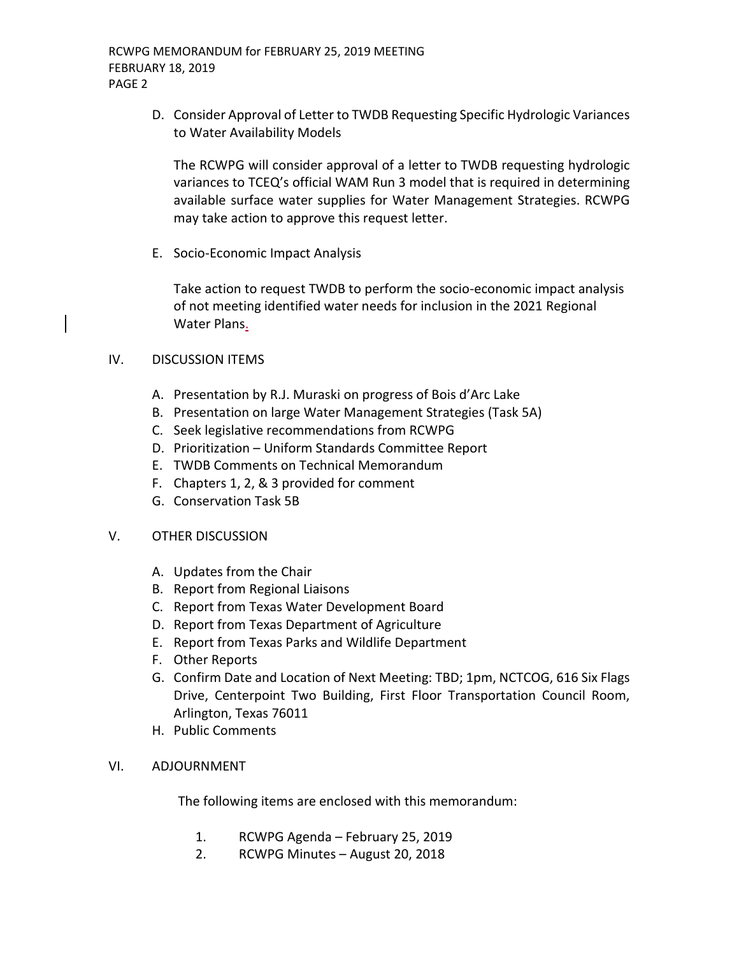D. Consider Approval of Letter to TWDB Requesting Specific Hydrologic Variances to Water Availability Models

The RCWPG will consider approval of a letter to TWDB requesting hydrologic variances to TCEQ's official WAM Run 3 model that is required in determining available surface water supplies for Water Management Strategies. RCWPG may take action to approve this request letter.

E. Socio-Economic Impact Analysis

Take action to request TWDB to perform the socio-economic impact analysis of not meeting identified water needs for inclusion in the 2021 Regional Water Plans.

## IV. DISCUSSION ITEMS

- A. Presentation by R.J. Muraski on progress of Bois d'Arc Lake
- B. Presentation on large Water Management Strategies (Task 5A)
- C. Seek legislative recommendations from RCWPG
- D. Prioritization Uniform Standards Committee Report
- E. TWDB Comments on Technical Memorandum
- F. Chapters 1, 2, & 3 provided for comment
- G. Conservation Task 5B

## V. OTHER DISCUSSION

- A. Updates from the Chair
- B. Report from Regional Liaisons
- C. Report from Texas Water Development Board
- D. Report from Texas Department of Agriculture
- E. Report from Texas Parks and Wildlife Department
- F. Other Reports
- G. Confirm Date and Location of Next Meeting: TBD; 1pm, NCTCOG, 616 Six Flags Drive, Centerpoint Two Building, First Floor Transportation Council Room, Arlington, Texas 76011
- H. Public Comments
- VI. ADJOURNMENT

The following items are enclosed with this memorandum:

- 1. RCWPG Agenda February 25, 2019
- 2. RCWPG Minutes August 20, 2018